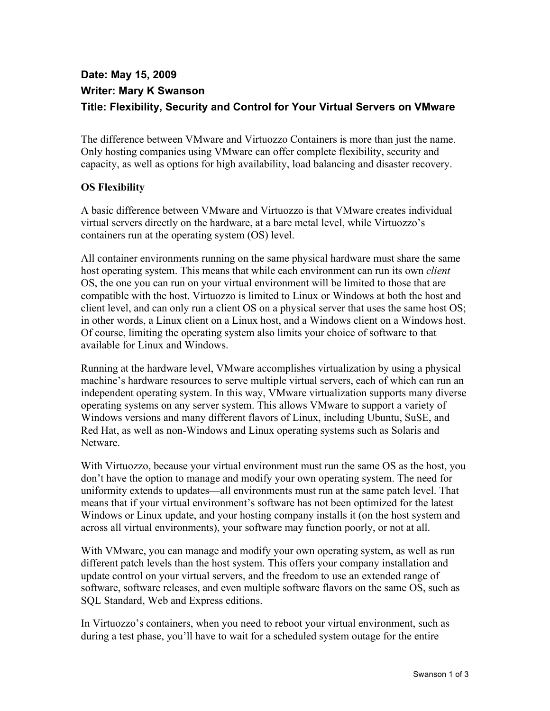# **Date: May 15, 2009 Writer: Mary K Swanson Title: Flexibility, Security and Control for Your Virtual Servers on VMware**

The difference between VMware and Virtuozzo Containers is more than just the name. Only hosting companies using VMware can offer complete flexibility, security and capacity, as well as options for high availability, load balancing and disaster recovery.

#### **OS Flexibility**

A basic difference between VMware and Virtuozzo is that VMware creates individual virtual servers directly on the hardware, at a bare metal level, while Virtuozzo's containers run at the operating system (OS) level.

All container environments running on the same physical hardware must share the same host operating system. This means that while each environment can run its own *client* OS, the one you can run on your virtual environment will be limited to those that are compatible with the host. Virtuozzo is limited to Linux or Windows at both the host and client level, and can only run a client OS on a physical server that uses the same host OS; in other words, a Linux client on a Linux host, and a Windows client on a Windows host. Of course, limiting the operating system also limits your choice of software to that available for Linux and Windows.

Running at the hardware level, VMware accomplishes virtualization by using a physical machine's hardware resources to serve multiple virtual servers, each of which can run an independent operating system. In this way, VMware virtualization supports many diverse operating systems on any server system. This allows VMware to support a variety of Windows versions and many different flavors of Linux, including Ubuntu, SuSE, and Red Hat, as well as non-Windows and Linux operating systems such as Solaris and Netware.

With Virtuozzo, because your virtual environment must run the same OS as the host, you don't have the option to manage and modify your own operating system. The need for uniformity extends to updates—all environments must run at the same patch level. That means that if your virtual environment's software has not been optimized for the latest Windows or Linux update, and your hosting company installs it (on the host system and across all virtual environments), your software may function poorly, or not at all.

With VMware, you can manage and modify your own operating system, as well as run different patch levels than the host system. This offers your company installation and update control on your virtual servers, and the freedom to use an extended range of software, software releases, and even multiple software flavors on the same OS, such as SQL Standard, Web and Express editions.

In Virtuozzo's containers, when you need to reboot your virtual environment, such as during a test phase, you'll have to wait for a scheduled system outage for the entire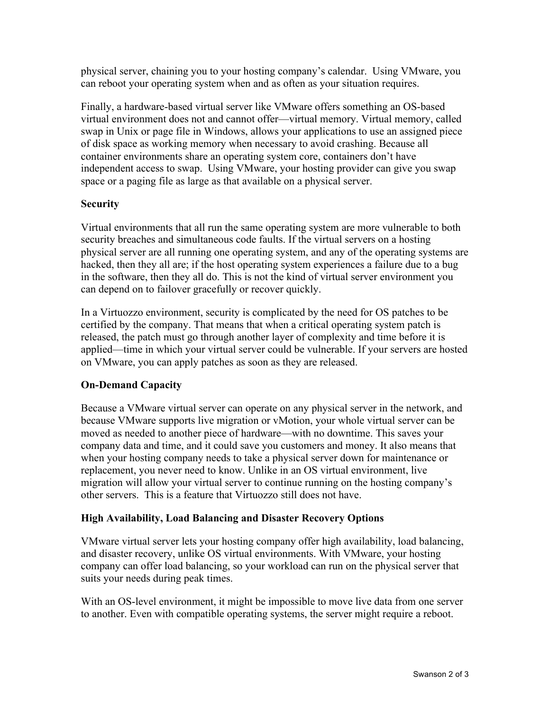physical server, chaining you to your hosting company's calendar. Using VMware, you can reboot your operating system when and as often as your situation requires.

Finally, a hardware-based virtual server like VMware offers something an OS-based virtual environment does not and cannot offer—virtual memory. Virtual memory, called swap in Unix or page file in Windows, allows your applications to use an assigned piece of disk space as working memory when necessary to avoid crashing. Because all container environments share an operating system core, containers don't have independent access to swap. Using VMware, your hosting provider can give you swap space or a paging file as large as that available on a physical server.

#### **Security**

Virtual environments that all run the same operating system are more vulnerable to both security breaches and simultaneous code faults. If the virtual servers on a hosting physical server are all running one operating system, and any of the operating systems are hacked, then they all are; if the host operating system experiences a failure due to a bug in the software, then they all do. This is not the kind of virtual server environment you can depend on to failover gracefully or recover quickly.

In a Virtuozzo environment, security is complicated by the need for OS patches to be certified by the company. That means that when a critical operating system patch is released, the patch must go through another layer of complexity and time before it is applied—time in which your virtual server could be vulnerable. If your servers are hosted on VMware, you can apply patches as soon as they are released.

## **On-Demand Capacity**

Because a VMware virtual server can operate on any physical server in the network, and because VMware supports live migration or vMotion, your whole virtual server can be moved as needed to another piece of hardware—with no downtime. This saves your company data and time, and it could save you customers and money. It also means that when your hosting company needs to take a physical server down for maintenance or replacement, you never need to know. Unlike in an OS virtual environment, live migration will allow your virtual server to continue running on the hosting company's other servers. This is a feature that Virtuozzo still does not have.

## **High Availability, Load Balancing and Disaster Recovery Options**

VMware virtual server lets your hosting company offer high availability, load balancing, and disaster recovery, unlike OS virtual environments. With VMware, your hosting company can offer load balancing, so your workload can run on the physical server that suits your needs during peak times.

With an OS-level environment, it might be impossible to move live data from one server to another. Even with compatible operating systems, the server might require a reboot.